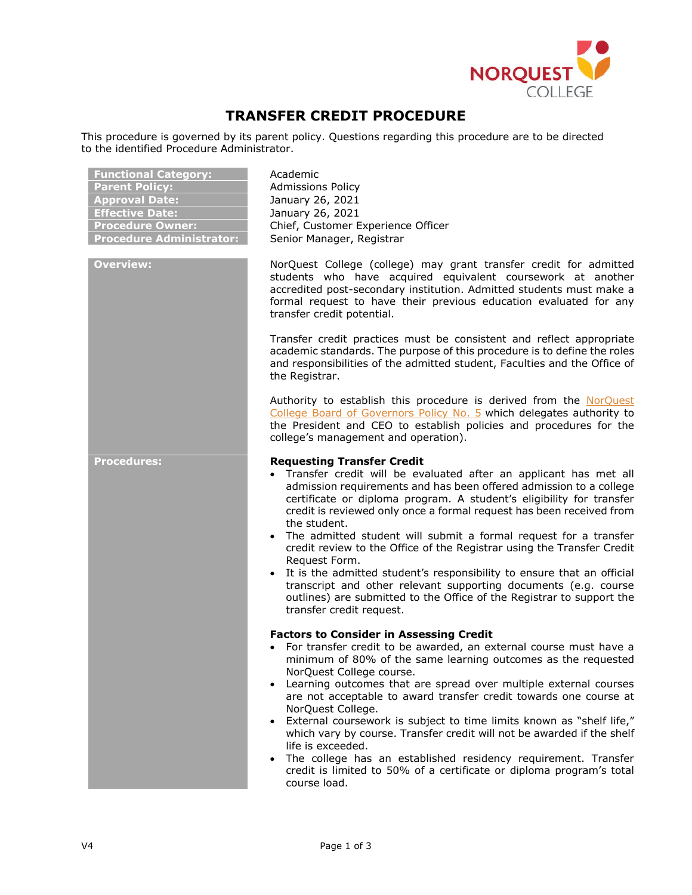

# **TRANSFER CREDIT PROCEDURE**

This procedure is governed by its parent policy. Questions regarding this procedure are to be directed to the identified Procedure Administrator.

| <b>Functional Category:</b>     |
|---------------------------------|
| <b>Parent Policy:</b>           |
| <b>Approval Date:</b>           |
| <b>Effective Date:</b>          |
| <b>Procedure Owner:</b>         |
| <b>Procedure Administrator:</b> |

**Functional Category:** Academic **Admissions Policy Approval Date:** January 26, 2021 **Effective Date:** January 26, 2021 **Chief, Customer Experience Officer** Senior Manager, Registrar

**Overview:** NorQuest College (college) may grant transfer credit for admitted students who have acquired equivalent coursework at another accredited post-secondary institution. Admitted students must make a formal request to have their previous education evaluated for any transfer credit potential.

> Transfer credit practices must be consistent and reflect appropriate academic standards. The purpose of this procedure is to define the roles and responsibilities of the admitted student, Faculties and the Office of the Registrar.

> Authority to establish this procedure is derived from the NorQuest College Board of Governors Policy No. 5 which delegates authority to the President and CEO to establish policies and procedures for the college's management and operation).

#### **Procedures: Requesting Transfer Credit**

- Transfer credit will be evaluated after an applicant has met all admission requirements and has been offered admission to a college certificate or diploma program. A student's eligibility for transfer credit is reviewed only once a formal request has been received from the student.
- The admitted student will submit a formal request for a transfer credit review to the Office of the Registrar using the Transfer Credit Request Form.
- It is the admitted student's responsibility to ensure that an official transcript and other relevant supporting documents (e.g. course outlines) are submitted to the Office of the Registrar to support the transfer credit request.

## **Factors to Consider in Assessing Credit**

- For transfer credit to be awarded, an external course must have a minimum of 80% of the same learning outcomes as the requested NorQuest College course.
- Learning outcomes that are spread over multiple external courses are not acceptable to award transfer credit towards one course at NorQuest College.
- External coursework is subject to time limits known as "shelf life," which vary by course. Transfer credit will not be awarded if the shelf life is exceeded.
- The college has an established residency requirement. Transfer credit is limited to 50% of a certificate or diploma program's total course load.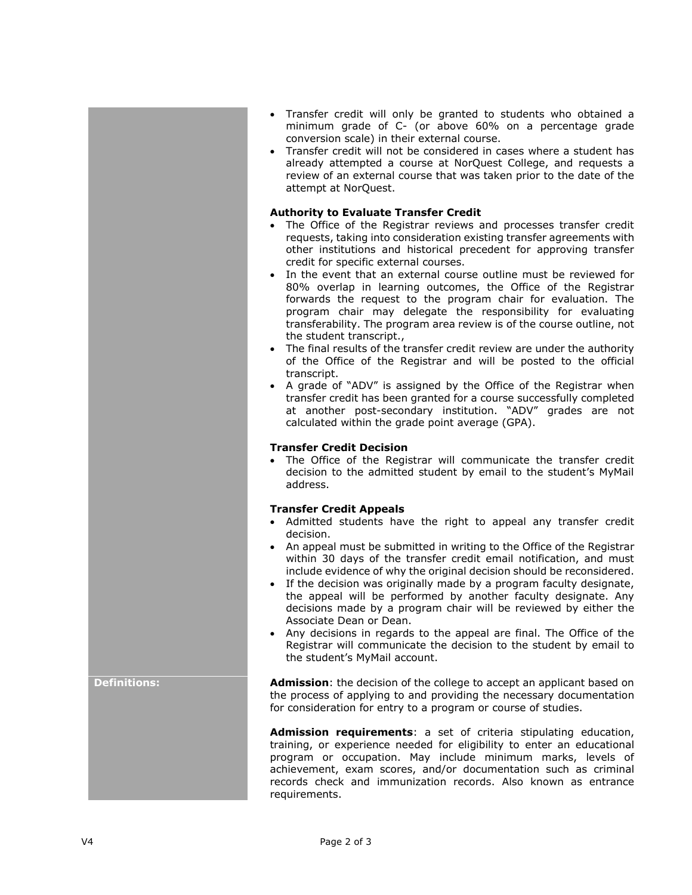- Transfer credit will only be granted to students who obtained a minimum grade of C- (or above 60% on a percentage grade conversion scale) in their external course.
- Transfer credit will not be considered in cases where a student has already attempted a course at NorQuest College, and requests a review of an external course that was taken prior to the date of the attempt at NorQuest.

## **Authority to Evaluate Transfer Credit**

- The Office of the Registrar reviews and processes transfer credit requests, taking into consideration existing transfer agreements with other institutions and historical precedent for approving transfer credit for specific external courses.
- In the event that an external course outline must be reviewed for 80% overlap in learning outcomes, the Office of the Registrar forwards the request to the program chair for evaluation. The program chair may delegate the responsibility for evaluating transferability. The program area review is of the course outline, not the student transcript.,
- The final results of the transfer credit review are under the authority of the Office of the Registrar and will be posted to the official transcript.
- A grade of "ADV" is assigned by the Office of the Registrar when transfer credit has been granted for a course successfully completed at another post-secondary institution. "ADV" grades are not calculated within the grade point average (GPA).

## **Transfer Credit Decision**

 The Office of the Registrar will communicate the transfer credit decision to the admitted student by email to the student's MyMail address.

#### **Transfer Credit Appeals**

- Admitted students have the right to appeal any transfer credit decision.
- An appeal must be submitted in writing to the Office of the Registrar within 30 days of the transfer credit email notification, and must include evidence of why the original decision should be reconsidered.
- If the decision was originally made by a program faculty designate, the appeal will be performed by another faculty designate. Any decisions made by a program chair will be reviewed by either the Associate Dean or Dean.
- Any decisions in regards to the appeal are final. The Office of the Registrar will communicate the decision to the student by email to the student's MyMail account.

**Definitions: Admission**: the decision of the college to accept an applicant based on the process of applying to and providing the necessary documentation for consideration for entry to a program or course of studies.

> **Admission requirements**: a set of criteria stipulating education, training, or experience needed for eligibility to enter an educational program or occupation. May include minimum marks, levels of achievement, exam scores, and/or documentation such as criminal records check and immunization records. Also known as entrance requirements.